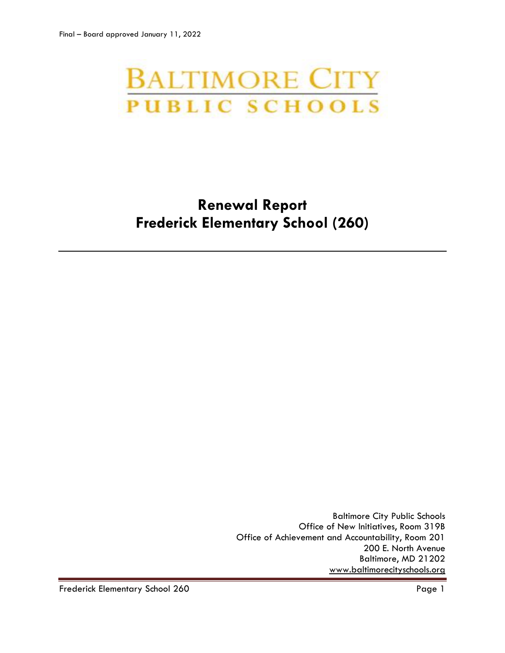# **BALTIMORE CITY PUBLIC SCHOOLS**

## **Renewal Report Frederick Elementary School (260)**

Baltimore City Public Schools Office of New Initiatives, Room 319B Office of Achievement and Accountability, Room 201 200 E. North Avenue Baltimore, MD 21202 [www.baltimorecityschools.org](http://www.baltimorecityschools.org/)

Frederick Elementary School 260 Page 1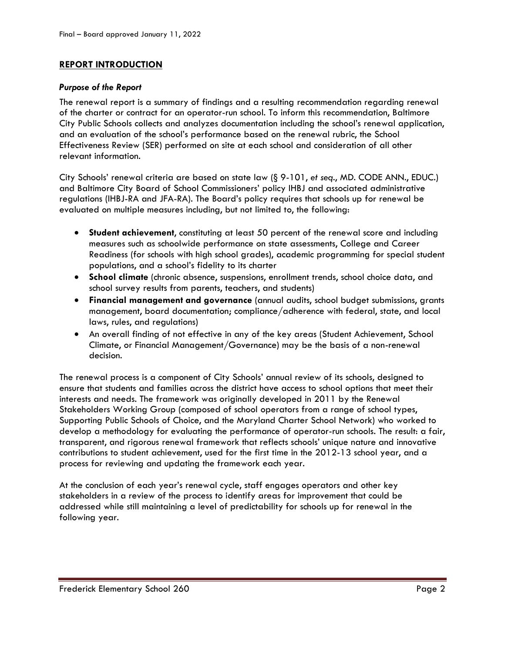#### **REPORT INTRODUCTION**

#### *Purpose of the Report*

The renewal report is a summary of findings and a resulting recommendation regarding renewal of the charter or contract for an operator-run school. To inform this recommendation, Baltimore City Public Schools collects and analyzes documentation including the school's renewal application, and an evaluation of the school's performance based on the renewal rubric, the School Effectiveness Review (SER) performed on site at each school and consideration of all other relevant information.

City Schools' renewal criteria are based on state law (§ 9-101, *et seq*., MD. CODE ANN., EDUC.) and Baltimore City Board of School Commissioners' policy IHBJ and associated administrative regulations (IHBJ-RA and JFA-RA). The Board's policy requires that schools up for renewal be evaluated on multiple measures including, but not limited to, the following:

- **Student achievement**, constituting at least 50 percent of the renewal score and including measures such as schoolwide performance on state assessments, College and Career Readiness (for schools with high school grades), academic programming for special student populations, and a school's fidelity to its charter
- **School climate** (chronic absence, suspensions, enrollment trends, school choice data, and school survey results from parents, teachers, and students)
- **Financial management and governance** (annual audits, school budget submissions, grants management, board documentation; compliance/adherence with federal, state, and local laws, rules, and regulations)
- An overall finding of not effective in any of the key areas (Student Achievement, School Climate, or Financial Management/Governance) may be the basis of a non-renewal decision.

The renewal process is a component of City Schools' annual review of its schools, designed to ensure that students and families across the district have access to school options that meet their interests and needs. The framework was originally developed in 2011 by the Renewal Stakeholders Working Group (composed of school operators from a range of school types, Supporting Public Schools of Choice, and the Maryland Charter School Network) who worked to develop a methodology for evaluating the performance of operator-run schools. The result: a fair, transparent, and rigorous renewal framework that reflects schools' unique nature and innovative contributions to student achievement, used for the first time in the 2012-13 school year, and a process for reviewing and updating the framework each year.

At the conclusion of each year's renewal cycle, staff engages operators and other key stakeholders in a review of the process to identify areas for improvement that could be addressed while still maintaining a level of predictability for schools up for renewal in the following year.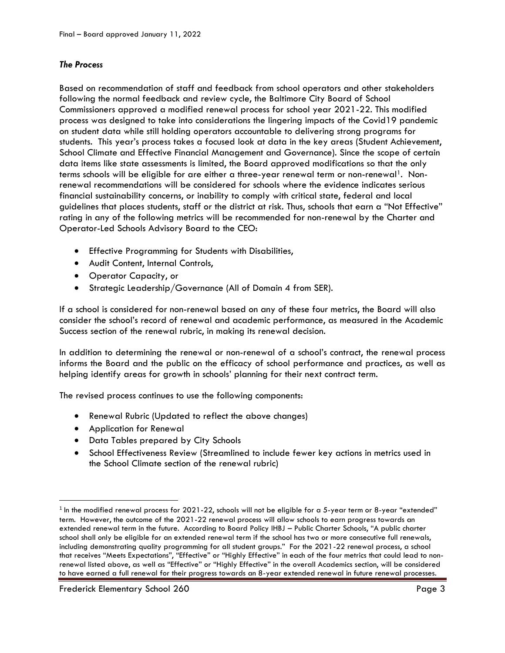#### *The Process*

Based on recommendation of staff and feedback from school operators and other stakeholders following the normal feedback and review cycle, the Baltimore City Board of School Commissioners approved a modified renewal process for school year 2021-22. This modified process was designed to take into considerations the lingering impacts of the Covid19 pandemic on student data while still holding operators accountable to delivering strong programs for students. This year's process takes a focused look at data in the key areas (Student Achievement, School Climate and Effective Financial Management and Governance). Since the scope of certain data items like state assessments is limited, the Board approved modifications so that the only terms schools will be eligible for are either a three-year renewal term or non-renewal<sup>1</sup>. Nonrenewal recommendations will be considered for schools where the evidence indicates serious financial sustainability concerns, or inability to comply with critical state, federal and local guidelines that places students, staff or the district at risk. Thus, schools that earn a "Not Effective" rating in any of the following metrics will be recommended for non-renewal by the Charter and Operator-Led Schools Advisory Board to the CEO:

- Effective Programming for Students with Disabilities,
- Audit Content, Internal Controls,
- Operator Capacity, or
- Strategic Leadership/Governance (All of Domain 4 from SER).

If a school is considered for non-renewal based on any of these four metrics, the Board will also consider the school's record of renewal and academic performance, as measured in the Academic Success section of the renewal rubric, in making its renewal decision.

In addition to determining the renewal or non-renewal of a school's contract, the renewal process informs the Board and the public on the efficacy of school performance and practices, as well as helping identify areas for growth in schools' planning for their next contract term.

The revised process continues to use the following components:

- Renewal Rubric (Updated to reflect the above changes)
- Application for Renewal
- Data Tables prepared by City Schools
- School Effectiveness Review (Streamlined to include fewer key actions in metrics used in the School Climate section of the renewal rubric)

l

 $^{\rm 1}$  In the modified renewal process for 2021-22, schools will not be eligible for a 5-year term or 8-year "extended" term. However, the outcome of the 2021-22 renewal process will allow schools to earn progress towards an extended renewal term in the future. According to Board Policy IHBJ – Public Charter Schools, "A public charter school shall only be eligible for an extended renewal term if the school has two or more consecutive full renewals, including demonstrating quality programming for all student groups." For the 2021-22 renewal process, a school that receives "Meets Expectations", "Effective" or "Highly Effective" in each of the four metrics that could lead to nonrenewal listed above, as well as "Effective" or "Highly Effective" in the overall Academics section, will be considered to have earned a full renewal for their progress towards an 8-year extended renewal in future renewal processes.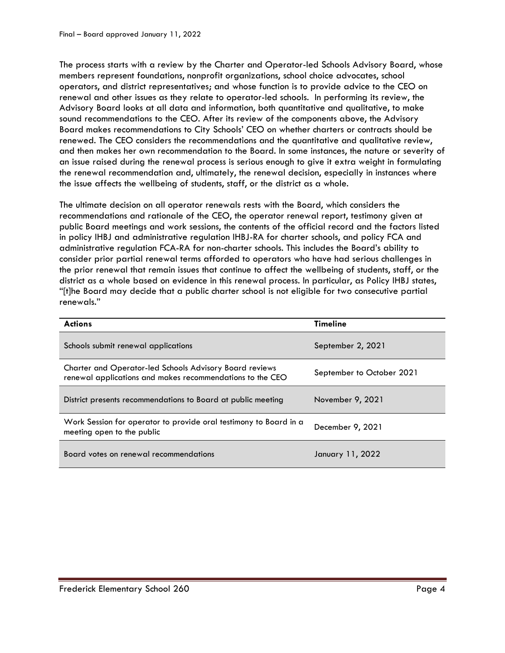The process starts with a review by the Charter and Operator-led Schools Advisory Board, whose members represent foundations, nonprofit organizations, school choice advocates, school operators, and district representatives; and whose function is to provide advice to the CEO on renewal and other issues as they relate to operator-led schools. In performing its review, the Advisory Board looks at all data and information, both quantitative and qualitative, to make sound recommendations to the CEO. After its review of the components above, the Advisory Board makes recommendations to City Schools' CEO on whether charters or contracts should be renewed. The CEO considers the recommendations and the quantitative and qualitative review, and then makes her own recommendation to the Board. In some instances, the nature or severity of an issue raised during the renewal process is serious enough to give it extra weight in formulating the renewal recommendation and, ultimately, the renewal decision, especially in instances where the issue affects the wellbeing of students, staff, or the district as a whole.

The ultimate decision on all operator renewals rests with the Board, which considers the recommendations and rationale of the CEO, the operator renewal report, testimony given at public Board meetings and work sessions, the contents of the official record and the factors listed in policy IHBJ and administrative regulation IHBJ-RA for charter schools, and policy FCA and administrative regulation FCA-RA for non-charter schools. This includes the Board's ability to consider prior partial renewal terms afforded to operators who have had serious challenges in the prior renewal that remain issues that continue to affect the wellbeing of students, staff, or the district as a whole based on evidence in this renewal process. In particular, as Policy IHBJ states, "[t]he Board may decide that a public charter school is not eligible for two consecutive partial renewals."

| <b>Actions</b>                                                                                                              | <b>Timeline</b>           |
|-----------------------------------------------------------------------------------------------------------------------------|---------------------------|
| Schools submit renewal applications                                                                                         | September 2, 2021         |
| <b>Charter and Operator-led Schools Advisory Board reviews</b><br>renewal applications and makes recommendations to the CEO | September to October 2021 |
| District presents recommendations to Board at public meeting                                                                | November 9, 2021          |
| Work Session for operator to provide oral testimony to Board in a<br>meeting open to the public                             | December 9, 2021          |
| Board votes on renewal recommendations                                                                                      | January 11, 2022          |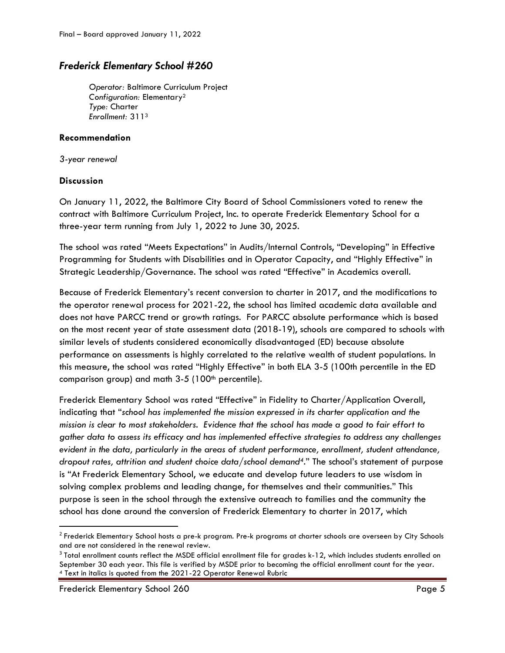### *Frederick Elementary School #260*

*Operator:* Baltimore Curriculum Project *Configuration:* Elementary<sup>2</sup> *Type:* Charter *Enrollment:* 311<sup>3</sup>

#### **Recommendation**

*3-year renewal*

#### **Discussion**

On January 11, 2022, the Baltimore City Board of School Commissioners voted to renew the contract with Baltimore Curriculum Project, Inc. to operate Frederick Elementary School for a three-year term running from July 1, 2022 to June 30, 2025.

The school was rated "Meets Expectations" in Audits/Internal Controls, "Developing" in Effective Programming for Students with Disabilities and in Operator Capacity, and "Highly Effective" in Strategic Leadership/Governance. The school was rated "Effective" in Academics overall.

Because of Frederick Elementary's recent conversion to charter in 2017, and the modifications to the operator renewal process for 2021-22, the school has limited academic data available and does not have PARCC trend or growth ratings. For PARCC absolute performance which is based on the most recent year of state assessment data (2018-19), schools are compared to schools with similar levels of students considered economically disadvantaged (ED) because absolute performance on assessments is highly correlated to the relative wealth of student populations. In this measure, the school was rated "Highly Effective" in both ELA 3-5 (100th percentile in the ED comparison group) and math  $3-5$  (100<sup>th</sup> percentile).

Frederick Elementary School was rated "Effective" in Fidelity to Charter/Application Overall, indicating that "*school has implemented the mission expressed in its charter application and the mission is clear to most stakeholders. Evidence that the school has made a good to fair effort to gather data to assess its efficacy and has implemented effective strategies to address any challenges evident in the data, particularly in the areas of student performance, enrollment, student attendance, dropout rates, attrition and student choice data/school demand4*." The school's statement of purpose is "At Frederick Elementary School, we educate and develop future leaders to use wisdom in solving complex problems and leading change, for themselves and their communities." This purpose is seen in the school through the extensive outreach to families and the community the school has done around the conversion of Frederick Elementary to charter in 2017, which

Frederick Elementary School 260 Page 5

 $\overline{\phantom{a}}$ 

<sup>&</sup>lt;sup>2</sup> Frederick Elementary School hosts a pre-k program. Pre-k programs at charter schools are overseen by City Schools and are not considered in the renewal review.

 $^3$  Total enrollment counts reflect the MSDE official enrollment file for grades k-12, which includes students enrolled on September 30 each year. This file is verified by MSDE prior to becoming the official enrollment count for the year. <sup>4</sup> Text in italics is quoted from the 2021-22 Operator Renewal Rubric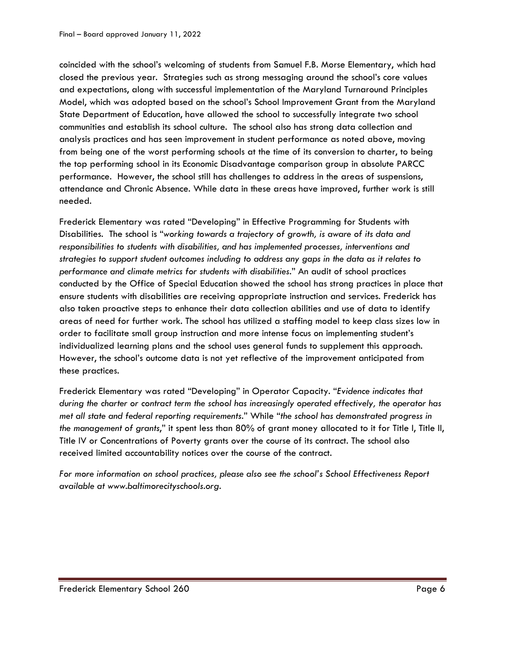coincided with the school's welcoming of students from Samuel F.B. Morse Elementary, which had closed the previous year. Strategies such as strong messaging around the school's core values and expectations, along with successful implementation of the Maryland Turnaround Principles Model, which was adopted based on the school's School Improvement Grant from the Maryland State Department of Education, have allowed the school to successfully integrate two school communities and establish its school culture. The school also has strong data collection and analysis practices and has seen improvement in student performance as noted above, moving from being one of the worst performing schools at the time of its conversion to charter, to being the top performing school in its Economic Disadvantage comparison group in absolute PARCC performance. However, the school still has challenges to address in the areas of suspensions, attendance and Chronic Absence. While data in these areas have improved, further work is still needed.

Frederick Elementary was rated "Developing" in Effective Programming for Students with Disabilities. The school is "*working towards a trajectory of growth, is aware of its data and responsibilities to students with disabilities, and has implemented processes, interventions and strategies to support student outcomes including to address any gaps in the data as it relates to performance and climate metrics for students with disabilities*." An audit of school practices conducted by the Office of Special Education showed the school has strong practices in place that ensure students with disabilities are receiving appropriate instruction and services. Frederick has also taken proactive steps to enhance their data collection abilities and use of data to identify areas of need for further work. The school has utilized a staffing model to keep class sizes low in order to facilitate small group instruction and more intense focus on implementing student's individualized learning plans and the school uses general funds to supplement this approach. However, the school's outcome data is not yet reflective of the improvement anticipated from these practices.

Frederick Elementary was rated "Developing" in Operator Capacity. "*Evidence indicates that during the charter or contract term the school has increasingly operated effectively, the operator has met all state and federal reporting requirements*." While "*the school has demonstrated progress in the management of grants*," it spent less than 80% of grant money allocated to it for Title I, Title II, Title IV or Concentrations of Poverty grants over the course of its contract. The school also received limited accountability notices over the course of the contract.

*For more information on school practices, please also see the school's School Effectiveness Report available at www.baltimorecityschools.org.*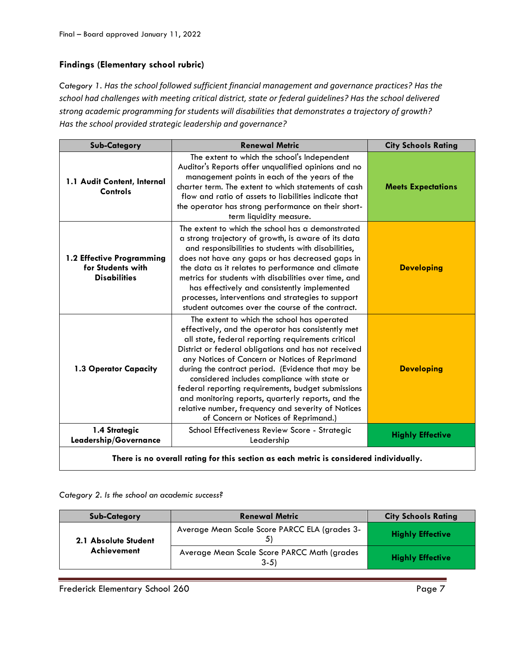#### **Findings (Elementary school rubric)**

*Category 1. Has the school followed sufficient financial management and governance practices? Has the school had challenges with meeting critical district, state or federal guidelines? Has the school delivered strong academic programming for students will disabilities that demonstrates a trajectory of growth? Has the school provided strategic leadership and governance?*

| <b>Sub-Category</b>                                                                    | <b>Renewal Metric</b>                                                                                                                                                                                                                                                                                                                                                                                                                                                                                                                                                            | <b>City Schools Rating</b> |
|----------------------------------------------------------------------------------------|----------------------------------------------------------------------------------------------------------------------------------------------------------------------------------------------------------------------------------------------------------------------------------------------------------------------------------------------------------------------------------------------------------------------------------------------------------------------------------------------------------------------------------------------------------------------------------|----------------------------|
| 1.1 Audit Content, Internal<br><b>Controls</b>                                         | The extent to which the school's Independent<br>Auditor's Reports offer unqualified opinions and no<br>management points in each of the years of the<br>charter term. The extent to which statements of cash<br>flow and ratio of assets to liabilities indicate that<br>the operator has strong performance on their short-<br>term liquidity measure.                                                                                                                                                                                                                          | <b>Meets Expectations</b>  |
| 1.2 Effective Programming<br>for Students with<br><b>Disabilities</b>                  | The extent to which the school has a demonstrated<br>a strong trajectory of growth, is aware of its data<br>and responsibilities to students with disabilities,<br>does not have any gaps or has decreased gaps in<br>the data as it relates to performance and climate<br>metrics for students with disabilities over time, and<br>has effectively and consistently implemented<br>processes, interventions and strategies to support<br>student outcomes over the course of the contract.                                                                                      | <b>Developing</b>          |
| 1.3 Operator Capacity                                                                  | The extent to which the school has operated<br>effectively, and the operator has consistently met<br>all state, federal reporting requirements critical<br>District or federal obligations and has not received<br>any Notices of Concern or Notices of Reprimand<br>during the contract period. (Evidence that may be<br>considered includes compliance with state or<br>federal reporting requirements, budget submissions<br>and monitoring reports, quarterly reports, and the<br>relative number, frequency and severity of Notices<br>of Concern or Notices of Reprimand.) | <b>Developing</b>          |
| 1.4 Strategic<br>Leadership/Governance                                                 | School Effectiveness Review Score - Strategic<br>Leadership                                                                                                                                                                                                                                                                                                                                                                                                                                                                                                                      | <b>Highly Effective</b>    |
| There is no overall rating for this section as each metric is considered individually. |                                                                                                                                                                                                                                                                                                                                                                                                                                                                                                                                                                                  |                            |

*Category 2. Is the school an academic success?*

| <b>Sub-Category</b>  | <b>Renewal Metric</b>                                 | <b>City Schools Rating</b> |
|----------------------|-------------------------------------------------------|----------------------------|
| 2.1 Absolute Student | Average Mean Scale Score PARCC ELA (grades 3-         | <b>Highly Effective</b>    |
| Achievement          | Average Mean Scale Score PARCC Math (grades<br>$3-5)$ | <b>Highly Effective</b>    |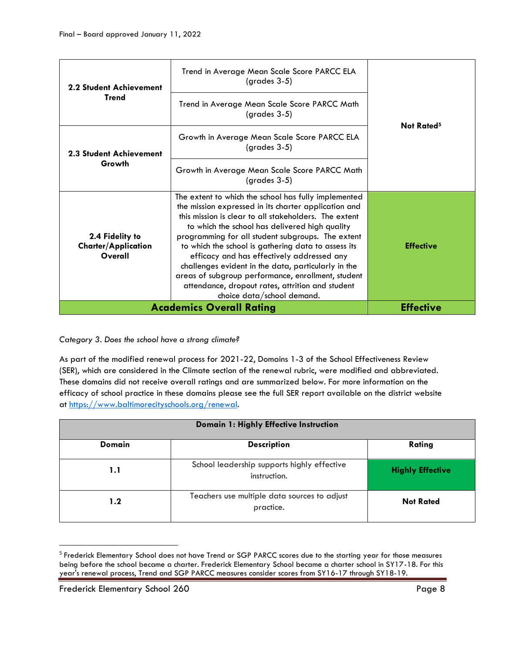| <b>2.2 Student Achievement</b><br><b>Trend</b><br><b>2.3 Student Achievement</b><br>Growth | Trend in Average Mean Scale Score PARCC ELA<br>$(grades 3-5)$                                                                                                                                                                                                                                                                                                                                                                                                                                                                                                                    |                        |
|--------------------------------------------------------------------------------------------|----------------------------------------------------------------------------------------------------------------------------------------------------------------------------------------------------------------------------------------------------------------------------------------------------------------------------------------------------------------------------------------------------------------------------------------------------------------------------------------------------------------------------------------------------------------------------------|------------------------|
|                                                                                            | Trend in Average Mean Scale Score PARCC Math<br>$(grades 3-5)$                                                                                                                                                                                                                                                                                                                                                                                                                                                                                                                   | Not Rated <sup>5</sup> |
|                                                                                            | Growth in Average Mean Scale Score PARCC ELA<br>$(grades 3-5)$                                                                                                                                                                                                                                                                                                                                                                                                                                                                                                                   |                        |
|                                                                                            | Growth in Average Mean Scale Score PARCC Math<br>(grades 3-5)                                                                                                                                                                                                                                                                                                                                                                                                                                                                                                                    |                        |
| 2.4 Fidelity to<br><b>Charter/Application</b><br>Overall                                   | The extent to which the school has fully implemented<br>the mission expressed in its charter application and<br>this mission is clear to all stakeholders. The extent<br>to which the school has delivered high quality<br>programming for all student subgroups. The extent<br>to which the school is gathering data to assess its<br>efficacy and has effectively addressed any<br>challenges evident in the data, particularly in the<br>areas of subgroup performance, enrollment, student<br>attendance, dropout rates, attrition and student<br>choice data/school demand. | <b>Effective</b>       |
|                                                                                            | <b>Academics Overall Rating</b>                                                                                                                                                                                                                                                                                                                                                                                                                                                                                                                                                  | <b>Effective</b>       |

*Category 3. Does the school have a strong climate?*

As part of the modified renewal process for 2021-22, Domains 1-3 of the School Effectiveness Review (SER), which are considered in the Climate section of the renewal rubric, were modified and abbreviated. These domains did not receive overall ratings and are summarized below. For more information on the efficacy of school practice in these domains please see the full SER report available on the district website at [https://www.baltimorecityschools.org/renewal.](https://www.baltimorecityschools.org/renewal)

| Domain 1: Highly Effective Instruction |                                                             |                         |
|----------------------------------------|-------------------------------------------------------------|-------------------------|
| <b>Domain</b>                          | <b>Description</b>                                          | Rating                  |
| 1.1                                    | School leadership supports highly effective<br>instruction. | <b>Highly Effective</b> |
| 1.2                                    | Teachers use multiple data sources to adjust<br>practice.   | <b>Not Rated</b>        |

<sup>&</sup>lt;sup>5</sup> Frederick Elementary School does not have Trend or SGP PARCC scores due to the starting year for those measures being before the school became a charter. Frederick Elementary School became a charter school in SY17-18. For this year's renewal process, Trend and SGP PARCC measures consider scores from SY16-17 through SY18-19.

 $\overline{\phantom{a}}$